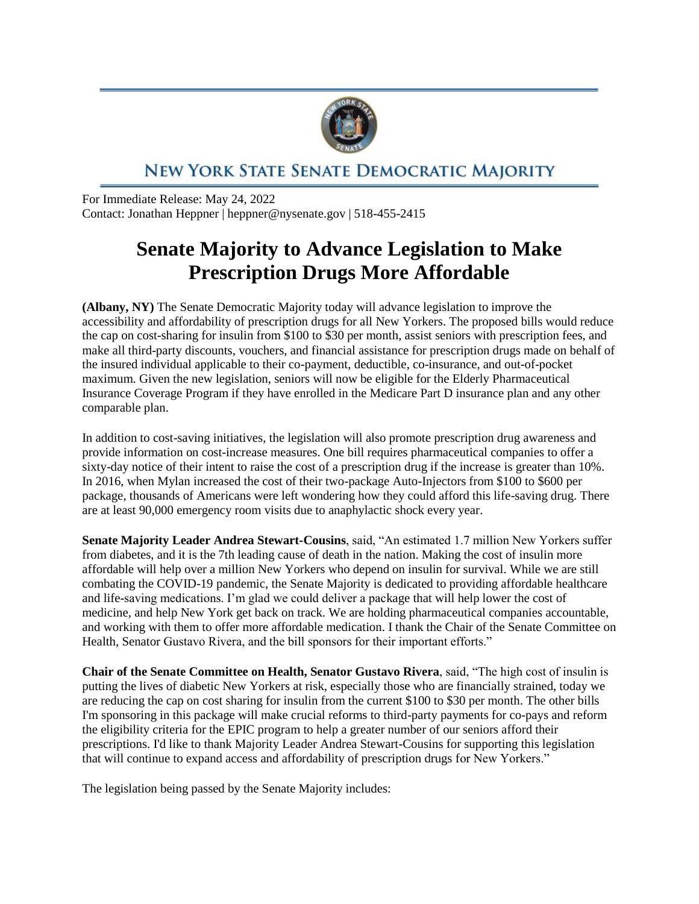

## NEW YORK STATE SENATE DEMOCRATIC MAJORITY

For Immediate Release: May 24, 2022 Contact: Jonathan Heppner | heppner@nysenate.gov | 518-455-2415

## **Senate Majority to Advance Legislation to Make Prescription Drugs More Affordable**

**(Albany, NY)** The Senate Democratic Majority today will advance legislation to improve the accessibility and affordability of prescription drugs for all New Yorkers. The proposed bills would reduce the cap on cost-sharing for insulin from \$100 to \$30 per month, assist seniors with prescription fees, and make all third-party discounts, vouchers, and financial assistance for prescription drugs made on behalf of the insured individual applicable to their co-payment, deductible, co-insurance, and out-of-pocket maximum. Given the new legislation, seniors will now be eligible for the Elderly Pharmaceutical Insurance Coverage Program if they have enrolled in the Medicare Part D insurance plan and any other comparable plan.

In addition to cost-saving initiatives, the legislation will also promote prescription drug awareness and provide information on cost-increase measures. One bill requires pharmaceutical companies to offer a sixty-day notice of their intent to raise the cost of a prescription drug if the increase is greater than 10%. In 2016, when Mylan increased the cost of their two-package Auto-Injectors from \$100 to \$600 per package, thousands of Americans were left wondering how they could afford this life-saving drug. There are at least 90,000 emergency room visits due to anaphylactic shock every year.

**Senate Majority Leader Andrea Stewart-Cousins**, said, "An estimated 1.7 million New Yorkers suffer from diabetes, and it is the 7th leading cause of death in the nation. Making the cost of insulin more affordable will help over a million New Yorkers who depend on insulin for survival. While we are still combating the COVID-19 pandemic, the Senate Majority is dedicated to providing affordable healthcare and life-saving medications. I'm glad we could deliver a package that will help lower the cost of medicine, and help New York get back on track. We are holding pharmaceutical companies accountable, and working with them to offer more affordable medication. I thank the Chair of the Senate Committee on Health, Senator Gustavo Rivera, and the bill sponsors for their important efforts."

**Chair of the Senate Committee on Health, Senator Gustavo Rivera**, said, "The high cost of insulin is putting the lives of diabetic New Yorkers at risk, especially those who are financially strained, today we are reducing the cap on cost sharing for insulin from the current \$100 to \$30 per month. The other bills I'm sponsoring in this package will make crucial reforms to third-party payments for co-pays and reform the eligibility criteria for the EPIC program to help a greater number of our seniors afford their prescriptions. I'd like to thank Majority Leader Andrea Stewart-Cousins for supporting this legislation that will continue to expand access and affordability of prescription drugs for New Yorkers."

The legislation being passed by the Senate Majority includes: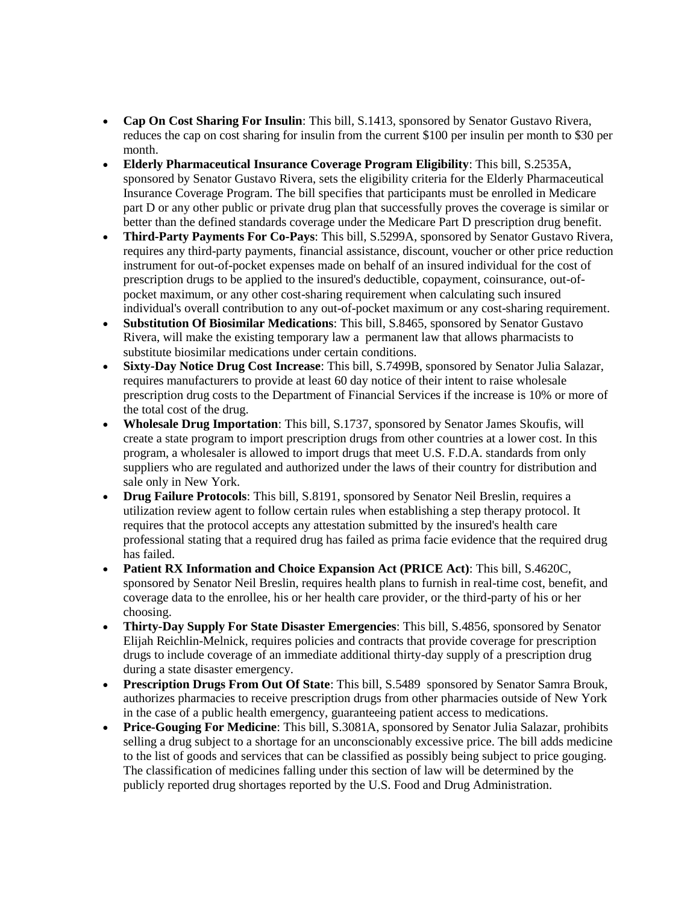- **Cap On Cost Sharing For Insulin**: This bill, S.1413, sponsored by Senator Gustavo Rivera, reduces the cap on cost sharing for insulin from the current \$100 per insulin per month to \$30 per month.
- **Elderly Pharmaceutical Insurance Coverage Program Eligibility**: This bill, S.2535A, sponsored by Senator Gustavo Rivera, sets the eligibility criteria for the Elderly Pharmaceutical Insurance Coverage Program. The bill specifies that participants must be enrolled in Medicare part D or any other public or private drug plan that successfully proves the coverage is similar or better than the defined standards coverage under the Medicare Part D prescription drug benefit.
- **Third-Party Payments For Co-Pays**: This bill, S.5299A, sponsored by Senator Gustavo Rivera, requires any third-party payments, financial assistance, discount, voucher or other price reduction instrument for out-of-pocket expenses made on behalf of an insured individual for the cost of prescription drugs to be applied to the insured's deductible, copayment, coinsurance, out-ofpocket maximum, or any other cost-sharing requirement when calculating such insured individual's overall contribution to any out-of-pocket maximum or any cost-sharing requirement.
- **Substitution Of Biosimilar Medications**: This bill, S.8465, sponsored by Senator Gustavo Rivera, will make the existing temporary law a permanent law that allows pharmacists to substitute biosimilar medications under certain conditions.
- **Sixty-Day Notice Drug Cost Increase**: This bill, S.7499B, sponsored by Senator Julia Salazar, requires manufacturers to provide at least 60 day notice of their intent to raise wholesale prescription drug costs to the Department of Financial Services if the increase is 10% or more of the total cost of the drug.
- **Wholesale Drug Importation**: This bill, S.1737, sponsored by Senator James Skoufis, will create a state program to import prescription drugs from other countries at a lower cost. In this program, a wholesaler is allowed to import drugs that meet U.S. F.D.A. standards from only suppliers who are regulated and authorized under the laws of their country for distribution and sale only in New York.
- **Drug Failure Protocols**: This bill, S.8191, sponsored by Senator Neil Breslin, requires a utilization review agent to follow certain rules when establishing a step therapy protocol. It requires that the protocol accepts any attestation submitted by the insured's health care professional stating that a required drug has failed as prima facie evidence that the required drug has failed.
- **Patient RX Information and Choice Expansion Act (PRICE Act)**: This bill, S.4620C, sponsored by Senator Neil Breslin, requires health plans to furnish in real-time cost, benefit, and coverage data to the enrollee, his or her health care provider, or the third-party of his or her choosing.
- **Thirty-Day Supply For State Disaster Emergencies**: This bill, S.4856, sponsored by Senator Elijah Reichlin-Melnick, requires policies and contracts that provide coverage for prescription drugs to include coverage of an immediate additional thirty-day supply of a prescription drug during a state disaster emergency.
- **Prescription Drugs From Out Of State**: This bill, S.5489 sponsored by Senator Samra Brouk, authorizes pharmacies to receive prescription drugs from other pharmacies outside of New York in the case of a public health emergency, guaranteeing patient access to medications.
- **Price-Gouging For Medicine**: This bill, S.3081A, sponsored by Senator Julia Salazar, prohibits selling a drug subject to a shortage for an unconscionably excessive price. The bill adds medicine to the list of goods and services that can be classified as possibly being subject to price gouging. The classification of medicines falling under this section of law will be determined by the publicly reported drug shortages reported by the U.S. Food and Drug Administration.